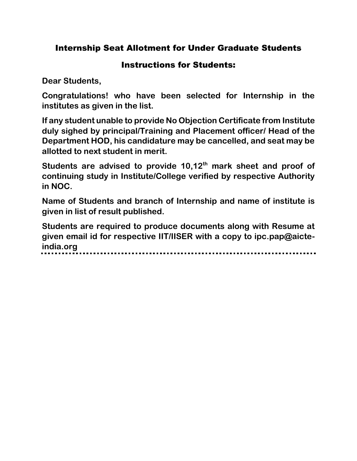## Internship Seat Allotment for Under Graduate Students

## Instructions for Students:

**Dear Students,**

**Congratulations! who have been selected for Internship in the institutes as given in the list.**

**If any student unable to provide No Objection Certificate from Institute duly sighed by principal/Training and Placement officer/ Head of the Department HOD, his candidature may be cancelled, and seat may be allotted to next student in merit.**

**Students are advised to provide 10,12th mark sheet and proof of continuing study in Institute/College verified by respective Authority in NOC.**

**Name of Students and branch of Internship and name of institute is given in list of result published.**

**Students are required to produce documents along with Resume at given email id for respective IIT/IISER with a copy to ipc.pap@aicteindia.org**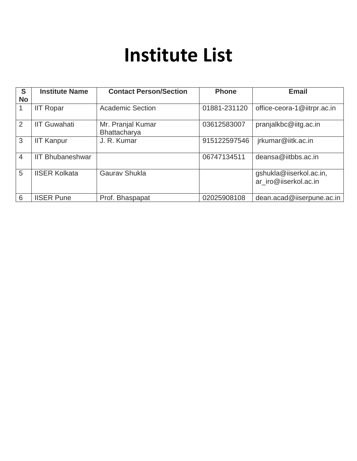## **Institute List**

| S<br><b>No</b> | <b>Institute Name</b>   | <b>Contact Person/Section</b>     | <b>Phone</b> | <b>Email</b>                                     |
|----------------|-------------------------|-----------------------------------|--------------|--------------------------------------------------|
|                | <b>IIT Ropar</b>        | <b>Academic Section</b>           | 01881-231120 | office-ceora-1@iitrpr.ac.in                      |
| 2              | <b>IIT Guwahati</b>     | Mr. Pranjal Kumar<br>Bhattacharya | 03612583007  | pranjalkbc@iitg.ac.in                            |
| 3              | <b>IIT Kanpur</b>       | J. R. Kumar                       | 915122597546 | jrkumar@iitk.ac.in                               |
| $\overline{4}$ | <b>IIT Bhubaneshwar</b> |                                   | 06747134511  | deansa@iitbbs.ac.in                              |
| 5              | <b>IISER Kolkata</b>    | <b>Gaurav Shukla</b>              |              | gshukla@iiserkol.ac.in,<br>ar iro@iiserkol.ac.in |
| 6              | <b>IISER Pune</b>       | Prof. Bhaspapat                   | 02025908108  | dean.acad@iiserpune.ac.in                        |